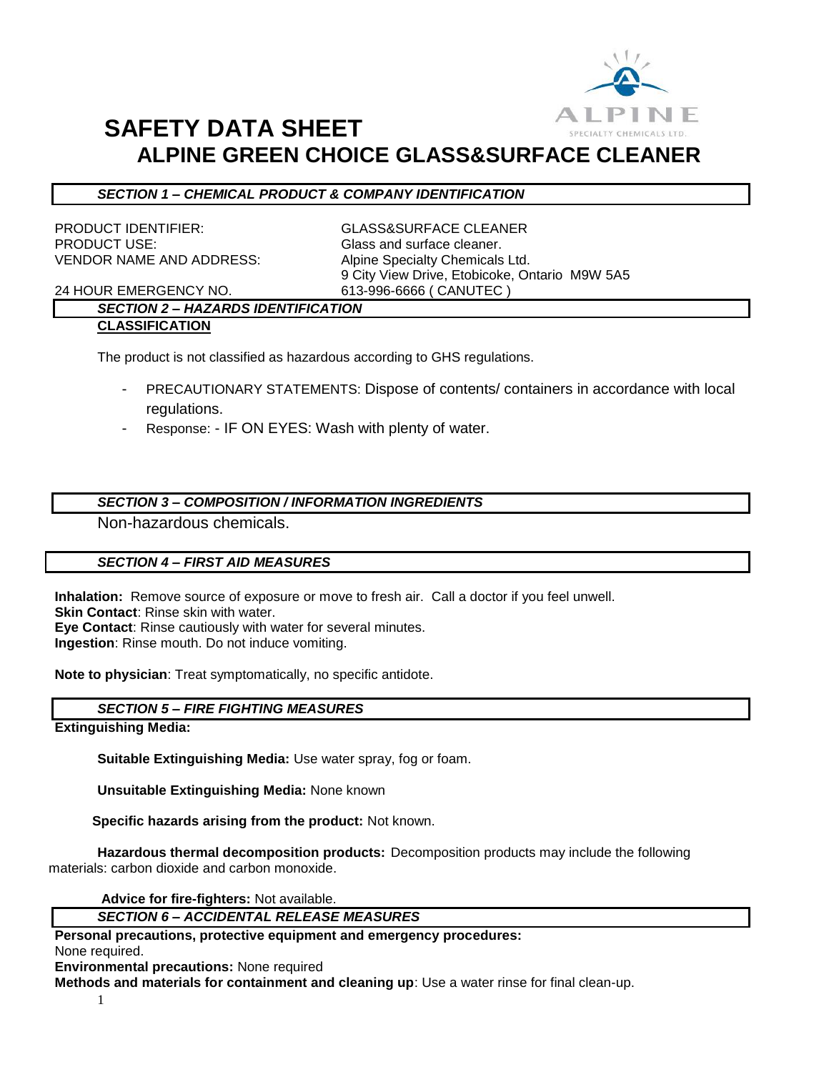

# **SAFETY DATA SHEET ALPINE GREEN CHOICE GLASS&SURFACE CLEANER**

### *SECTION 1 – CHEMICAL PRODUCT & COMPANY IDENTIFICATION*

PRODUCT IDENTIFIER: GLASS&SURFACE CLEANER PRODUCT USE: Glass and surface cleaner. VENDOR NAME AND ADDRESS: Alpine Specialty Chemicals Ltd.

9 City View Drive, Etobicoke, Ontario M9W 5A5

24 HOUR EMERGENCY NO. 613-996-6666 ( CANUTEC )

#### *SECTION 2 – HAZARDS IDENTIFICATION* **CLASSIFICATION**

The product is not classified as hazardous according to GHS regulations.

- PRECAUTIONARY STATEMENTS: Dispose of contents/ containers in accordance with local regulations.
- Response: IF ON EYES: Wash with plenty of water.

# *SECTION 3 – COMPOSITION / INFORMATION INGREDIENTS*

Non-hazardous chemicals.

# *SECTION 4 – FIRST AID MEASURES*

**Inhalation:** Remove source of exposure or move to fresh air. Call a doctor if you feel unwell. **Skin Contact**: Rinse skin with water. **Eye Contact**: Rinse cautiously with water for several minutes. **Ingestion**: Rinse mouth. Do not induce vomiting.

**Note to physician**: Treat symptomatically, no specific antidote.

# *SECTION 5 – FIRE FIGHTING MEASURES*

**Extinguishing Media:**

**Suitable Extinguishing Media:** Use water spray, fog or foam.

**Unsuitable Extinguishing Media:** None known

 **Specific hazards arising from the product:** Not known.

**Hazardous thermal decomposition products:** Decomposition products may include the following materials: carbon dioxide and carbon monoxide.

**Advice for fire-fighters:** Not available.

#### *SECTION 6 – ACCIDENTAL RELEASE MEASURES*

### **Personal precautions, protective equipment and emergency procedures:**

None required.

**Environmental precautions:** None required

**Methods and materials for containment and cleaning up**: Use a water rinse for final clean-up.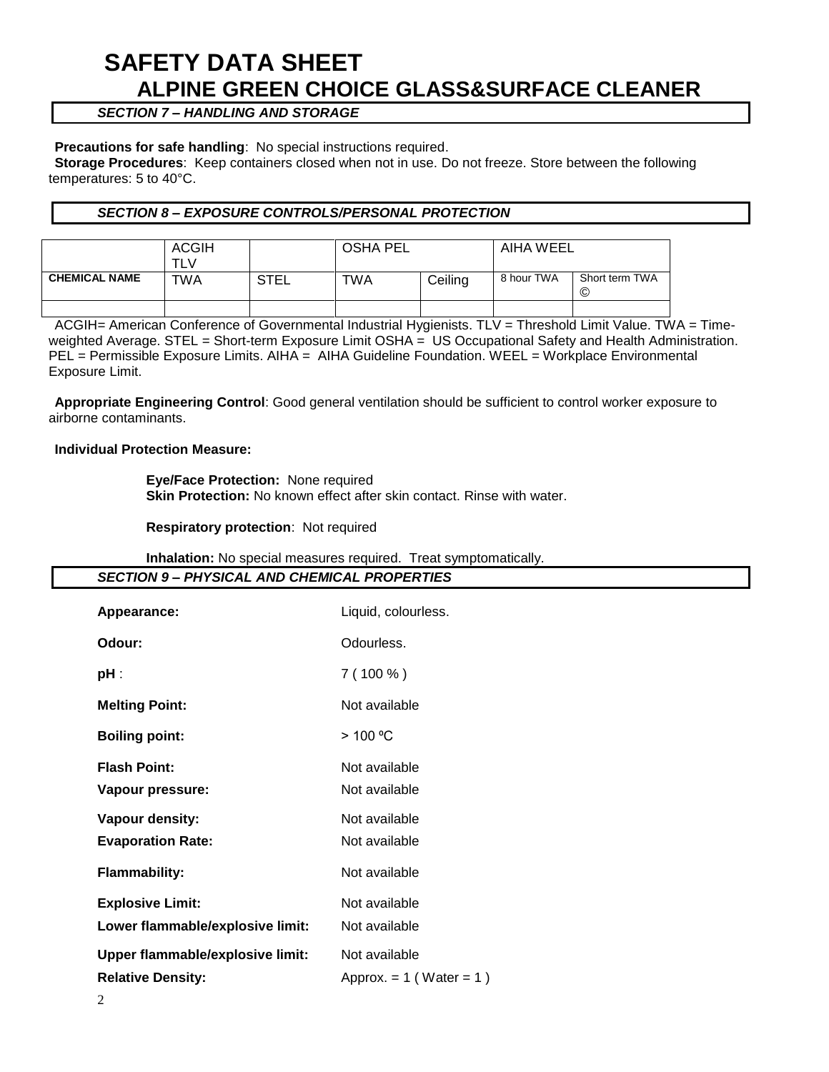# **SAFETY DATA SHEET ALPINE GREEN CHOICE GLASS&SURFACE CLEANER**

# *SECTION 7 – HANDLING AND STORAGE*

#### **Precautions for safe handling**: No special instructions required.

**Storage Procedures**: Keep containers closed when not in use. Do not freeze. Store between the following temperatures: 5 to 40°C.

## *SECTION 8 – EXPOSURE CONTROLS/PERSONAL PROTECTION*

|                      | <b>ACGIH</b><br>TLV |      | <b>OSHA PEL</b> |         | AIHA WEEL  |                     |
|----------------------|---------------------|------|-----------------|---------|------------|---------------------|
| <b>CHEMICAL NAME</b> | TWA                 | STEL | TWA             | Ceiling | 8 hour TWA | Short term TWA<br>© |
|                      |                     |      |                 |         |            |                     |

ACGIH= American Conference of Governmental Industrial Hygienists. TLV = Threshold Limit Value. TWA = Timeweighted Average. STEL = Short-term Exposure Limit OSHA = US Occupational Safety and Health Administration. PEL = Permissible Exposure Limits. AIHA = AIHA Guideline Foundation. WEEL = Workplace Environmental Exposure Limit.

**Appropriate Engineering Control**: Good general ventilation should be sufficient to control worker exposure to airborne contaminants.

#### **Individual Protection Measure:**

**Eye/Face Protection:** None required **Skin Protection:** No known effect after skin contact. Rinse with water.

#### **Respiratory protection**: Not required

# **Inhalation:** No special measures required. Treat symptomatically.

| <b>Inhalation:</b> No special measures required. Treat symptomatically. |                              |  |  |  |  |
|-------------------------------------------------------------------------|------------------------------|--|--|--|--|
| <b>SECTION 9- PHYSICAL AND CHEMICAL PROPERTIES</b>                      |                              |  |  |  |  |
| Appearance:                                                             | Liquid, colourless.          |  |  |  |  |
| Odour:                                                                  | Odourless.                   |  |  |  |  |
| pH :                                                                    | $7(100\%)$                   |  |  |  |  |
| <b>Melting Point:</b>                                                   | Not available                |  |  |  |  |
| <b>Boiling point:</b>                                                   | > 100 °C                     |  |  |  |  |
| <b>Flash Point:</b>                                                     | Not available                |  |  |  |  |
| Vapour pressure:                                                        | Not available                |  |  |  |  |
| Vapour density:                                                         | Not available                |  |  |  |  |
| <b>Evaporation Rate:</b>                                                | Not available                |  |  |  |  |
| <b>Flammability:</b>                                                    | Not available                |  |  |  |  |
| <b>Explosive Limit:</b>                                                 | Not available                |  |  |  |  |
| Lower flammable/explosive limit:                                        | Not available                |  |  |  |  |
| Upper flammable/explosive limit:                                        | Not available                |  |  |  |  |
| <b>Relative Density:</b>                                                | Approx. $= 1$ (Water $= 1$ ) |  |  |  |  |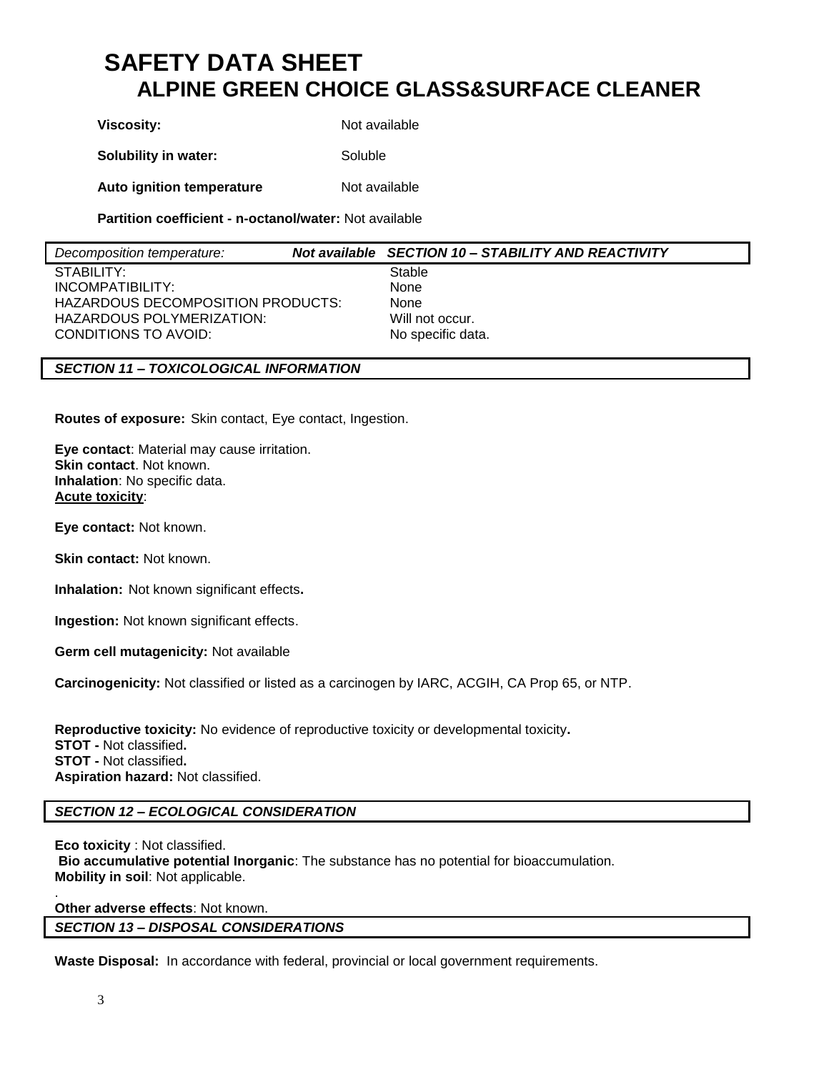# **SAFETY DATA SHEET ALPINE GREEN CHOICE GLASS&SURFACE CLEANER**

**Viscosity:** Not available **Solubility in water:** Soluble

**Auto ignition temperature** Not available

**Partition coefficient - n-octanol/water:** Not available

| Decomposition temperature:        | Not available SECTION 10 - STABILITY AND REACTIVITY |
|-----------------------------------|-----------------------------------------------------|
| STABILITY:                        | Stable                                              |
| INCOMPATIBILITY:                  | None                                                |
| HAZARDOUS DECOMPOSITION PRODUCTS: | None                                                |
| HAZARDOUS POLYMERIZATION:         | Will not occur.                                     |
| CONDITIONS TO AVOID:              | No specific data.                                   |

# *SECTION 11 – TOXICOLOGICAL INFORMATION*

**Routes of exposure:** Skin contact, Eye contact, Ingestion.

**Eye contact**: Material may cause irritation. **Skin contact**. Not known. **Inhalation**: No specific data. **Acute toxicity**:

**Eye contact:** Not known.

**Skin contact:** Not known.

**Inhalation:** Not known significant effects**.**

**Ingestion:** Not known significant effects.

**Germ cell mutagenicity:** Not available

**Carcinogenicity:** Not classified or listed as a carcinogen by IARC, ACGIH, CA Prop 65, or NTP.

**Reproductive toxicity:** No evidence of reproductive toxicity or developmental toxicity**. STOT -** Not classified**. STOT -** Not classified**. Aspiration hazard:** Not classified.

# *SECTION 12 – ECOLOGICAL CONSIDERATION*

**Eco toxicity** : Not classified. **Bio accumulative potential Inorganic**: The substance has no potential for bioaccumulation. **Mobility in soil**: Not applicable.

. **Other adverse effects**: Not known.

# *SECTION 13 – DISPOSAL CONSIDERATIONS*

**Waste Disposal:** In accordance with federal, provincial or local government requirements.